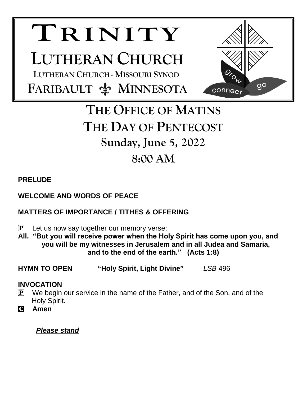# **TRINITY**

## **LUTHERAN CHURCH**

 **LUTHERAN CHURCH - MISSOURI SYNOD FARIBAULT**  $\frac{A}{N}$  **MINNESOTA** 



### **THE OFFICE OF MATINS THE DAY OF PENTECOST Sunday, June 5, 2022 8:00 AM**

#### **PRELUDE**

#### **WELCOME AND WORDS OF PEACE**

#### **MATTERS OF IMPORTANCE / TITHES & OFFERING**

- $\mathbf{P}$  Let us now say together our memory verse:
- **All. "But you will receive power when the Holy Spirit has come upon you, and you will be my witnesses in Jerusalem and in all Judea and Samaria, and to the end of the earth." (Acts 1:8)**
- **HYMN TO OPEN "Holy Spirit, Light Divine"** *LSB* 496

#### **INVOCATION**

- $\mathbf{P}$  We begin our service in the name of the Father, and of the Son, and of the Holy Spirit.
- C **Amen**

#### *Please stand*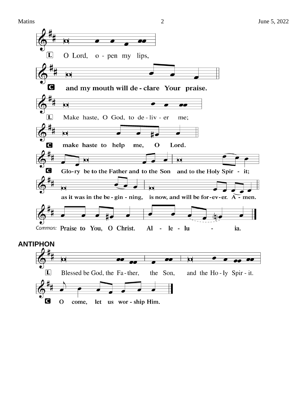



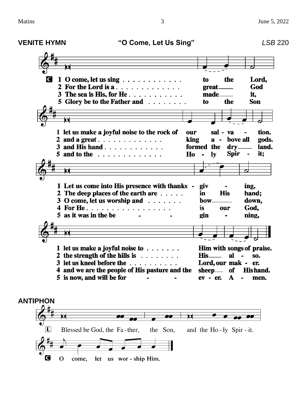**VENITE HYMN "O Come, Let Us Sing"** *LSB* 220 IC I 1 O come, let us sing  $\ldots \ldots \ldots \ldots$ to the Lord, 2 For the Lord is a........... great\_ God 3 The sea is His, for He............ made\_ it. 5 Glory be to the Father and ........ the **Son** to 1 let us make a joyful noise to the rock of our sal - va tion. 2 and a great . . . . . . . . . . . . . king  $a$ bove all gods. 3 and Hishand  $\ldots$ , . . . . . . . . . formed the drv<sub>-</sub> land. 5 and to the  $\ldots$  . . . . . . . . . . Ho  $\mathbf{I}$ v **Spir** it;  $\blacksquare$ 1 Let us come into His presence with thanks giv ing, 2 The deep places of the earth are  $\dots$ . **His** in hand: 3 O come, let us worship and . . . . . . . bow<sub>-</sub> down, 4 For He. . . . . . . . . . . . . . . . . . God, is. our 5 as it was in the be gin ning,  $\blacksquare$ 1 let us make a joyful noise to  $\dots$ .... Him with songs of praise. 2 the strength of the hills is  $\ldots$ .....  $His$ al SO. 3 let us kneel before the ......... Lord, our mak - er. 4 and we are the people of His pasture and the  $sheep$ \_\_\_\_ of **Hishand.** 5 is now, and will be for  $ev - er.$ A men. **ANTIPHON**  $\overline{\mathbf{o}}$  $\overline{\phantom{a}}$  $\mathbf{L}$ Blessed be God, the Fa-ther, the Son, and the Ho-ly Spir-it.

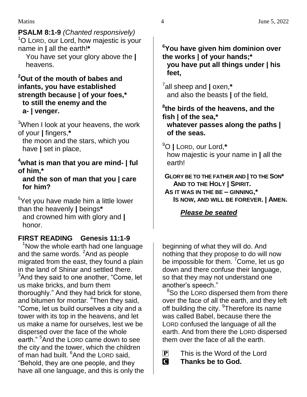#### **PSALM 8:1-9** *(Chanted responsively)*

<sup>1</sup>O LORD, our Lord, how majestic is your name in **|** all the earth!**\***

 You have set your glory above the **|** heavens.

#### **<sup>2</sup>Out of the mouth of babes and infants, you have established strength because | of your foes,\* to still the enemy and the a- | venger.**

 $3$ When I look at your heavens, the work of your **|** fingers,**\***

the moon and the stars, which you have **|** set in place,

#### **<sup>4</sup>what is man that you are mind- | ful of him,\***

#### **and the son of man that you | care for him?**

<sup>5</sup>Yet you have made him a little lower than the heavenly **|** beings**\*** and crowned him with glory and **|** honor.

#### **FIRST READING Genesis 11:1-9**

 $1$ Now the whole earth had one language and the same words. <sup>2</sup>And as people migrated from the east, they found a plain in the land of Shinar and settled there.  $3$ And they said to one another, "Come, let us make bricks, and burn them thoroughly." And they had brick for stone, and bitumen for mortar. <sup>4</sup>Then they said, "Come, let us build ourselves a city and a tower with its top in the heavens, and let us make a name for ourselves, lest we be dispersed over the face of the whole earth."<sup>5</sup> And the LORD came down to see the city and the tower, which the children of man had built. <sup>6</sup>And the LORD said, "Behold, they are one people, and they have all one language, and this is only the

#### **<sup>6</sup>You have given him dominion over the works | of your hands;\* you have put all things under | his feet,**

7 all sheep and **|** oxen,**\*** and also the beasts **|** of the field,

#### **8 the birds of the heavens, and the fish | of the sea,\* whatever passes along the paths | of the seas.**

<sup>9</sup>O **|** LORD, our Lord,**\*** how majestic is your name in **|** all the earth!

**GLORY BE TO THE FATHER AND | TO THE SON\* AND TO THE HOLY | SPIRIT. AS IT WAS IN THE BE – GINNING,\* IS NOW, AND WILL BE FOREVER. | AMEN.**

#### *Please be seated*

beginning of what they will do. And nothing that they propose to do will now be impossible for them. <sup>7</sup>Come, let us go down and there confuse their language, so that they may not understand one another's speech."

<sup>8</sup>So the LORD dispersed them from there over the face of all the earth, and they left off building the city. <sup>9</sup>Therefore its name was called Babel, because there the LORD confused the language of all the earth. And from there the LORD dispersed them over the face of all the earth.

 $\mathbf{P}$  This is the Word of the Lord C **Thanks be to God.**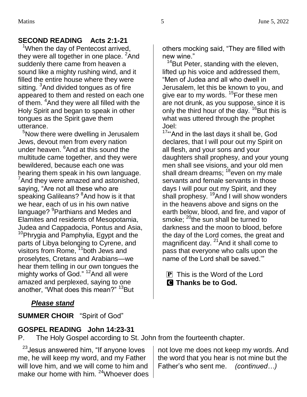#### **SECOND READING Acts 2:1-21**

<sup>1</sup>When the day of Pentecost arrived, they were all together in one place. <sup>2</sup>And suddenly there came from heaven a sound like a mighty rushing wind, and it filled the entire house where they were sitting. <sup>3</sup>And divided tongues as of fire appeared to them and rested on each one of them. <sup>4</sup>And they were all filled with the Holy Spirit and began to speak in other tongues as the Spirit gave them utterance.

<sup>5</sup>Now there were dwelling in Jerusalem Jews, devout men from every nation under heaven. <sup>6</sup>And at this sound the multitude came together, and they were bewildered, because each one was hearing them speak in his own language.  $7$ And they were amazed and astonished, saying, "Are not all these who are speaking Galileans? <sup>8</sup>And how is it that we hear, each of us in his own native language? <sup>9</sup>Parthians and Medes and Elamites and residents of Mesopotamia, Judea and Cappadocia, Pontus and Asia, <sup>10</sup>Phrygia and Pamphylia, Egypt and the parts of Libya belonging to Cyrene, and visitors from Rome,  $11$ both Jews and proselytes, Cretans and Arabians—we hear them telling in our own tongues the mighty works of God." <sup>12</sup>And all were amazed and perplexed, saying to one another, "What does this mean?" <sup>13</sup>But

#### others mocking said, "They are filled with new wine."

<sup>14</sup>But Peter, standing with the eleven, lifted up his voice and addressed them, "Men of Judea and all who dwell in Jerusalem, let this be known to you, and give ear to my words. <sup>15</sup>For these men are not drunk, as you suppose, since it is only the third hour of the day.  $^{16}$ But this is what was uttered through the prophet Joel:

<sup>17</sup>"'And in the last days it shall be, God declares, that I will pour out my Spirit on all flesh, and your sons and your daughters shall prophesy, and your young men shall see visions, and your old men shall dream dreams; <sup>18</sup>even on my male servants and female servants in those days I will pour out my Spirit, and they shall prophesy. <sup>19</sup>And I will show wonders in the heavens above and signs on the earth below, blood, and fire, and vapor of smoke;  $^{20}$ the sun shall be turned to darkness and the moon to blood, before the day of the Lord comes, the great and magnificent day. <sup>21</sup> And it shall come to pass that everyone who calls upon the name of the Lord shall be saved.'"

 $\mathbf{P}$  This is the Word of the Lord C **Thanks be to God.**

#### *Please stand*

**SUMMER CHOIR** "Spirit of God"

#### **GOSPEL READING John 14:23-31**

P. The Holy Gospel according to St. John from the fourteenth chapter.

<sup>23</sup>Jesus answered him, "If anyone loves me, he will keep my word, and my Father will love him, and we will come to him and make our home with him. <sup>24</sup>Whoever does

not love me does not keep my words. And the word that you hear is not mine but the Father's who sent me. *(continued…)*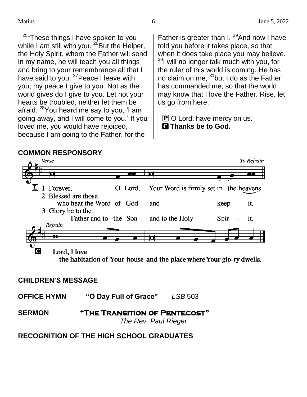<sup>25</sup> These things I have spoken to you while I am still with you.  $^{26}$ But the Helper, the Holy Spirit, whom the Father will send in my name, he will teach you all things and bring to your remembrance all that I have said to you. <sup>27</sup> Peace I leave with you; my peace I give to you. Not as the world gives do I give to you. Let not your hearts be troubled, neither let them be afraid. <sup>28</sup>You heard me say to you, 'I am going away, and I will come to you.' If you loved me, you would have rejoiced, because I am going to the Father, for the

Father is greater than I.  $^{29}$ And now I have told you before it takes place, so that when it does take place you may believe. <sup>30</sup>I will no longer talk much with you, for the ruler of this world is coming. He has no claim on me, <sup>31</sup>but I do as the Father has commanded me, so that the world may know that I love the Father. Rise, let us go from here.

 $\bf{P}$  O Lord, have mercy on us. C **Thanks be to God.**



#### **CHILDREN'S MESSAGE**

**OFFICE HYMN "O Day Full of Grace"** *LSB* 503

**SERMON "The Transition of Pentecost"**  *The Rev. Paul Rieger*

#### **RECOGNITION OF THE HIGH SCHOOL GRADUATES**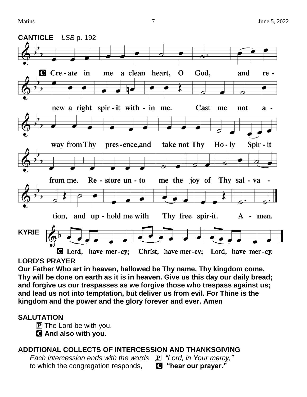

#### **LORD'S PRAYER**

**Our Father Who art in heaven, hallowed be Thy name, Thy kingdom come, Thy will be done on earth as it is in heaven. Give us this day our daily bread; and forgive us our trespasses as we forgive those who trespass against us; and lead us not into temptation, but deliver us from evil. For Thine is the kingdom and the power and the glory forever and ever. Amen**

#### **SALUTATION**

 $\bf{P}$  The Lord be with you.

C **And also with you.**

#### **ADDITIONAL COLLECTS OF INTERCESSION AND THANKSGIVING**

 *Each intercession ends with the words* P *"Lord, in Your mercy,"* to which the congregation responds, C **"hear our prayer."**